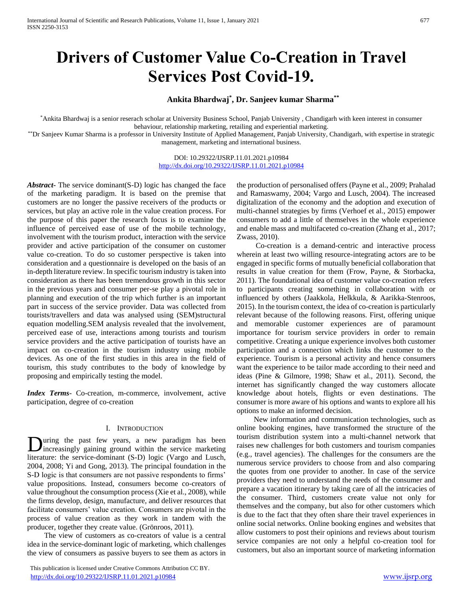# **Drivers of Customer Value Co-Creation in Travel Services Post Covid-19.**

# **Ankita Bhardwaj\* , Dr. Sanjeev kumar Sharma\*\***

\*Ankita Bhardwaj is a senior reserach scholar at University Business School, Panjab University , Chandigarh with keen interest in consumer behaviour, relationship marketing, retailing and experiential marketing.

\*\*Dr Sanjeev Kumar Sharma is a professor in University Institute of Applied Management, Panjab University, Chandigarh, with expertise in strategic management, marketing and international business.

> DOI: 10.29322/IJSRP.11.01.2021.p10984 <http://dx.doi.org/10.29322/IJSRP.11.01.2021.p10984>

*Abstract***-** The service dominant(S-D) logic has changed the face of the marketing paradigm. It is based on the premise that customers are no longer the passive receivers of the products or services, but play an active role in the value creation process. For the purpose of this paper the research focus is to examine the influence of perceived ease of use of the mobile technology, involvement with the tourism product, interaction with the service provider and active participation of the consumer on customer value co-creation. To do so customer perspective is taken into consideration and a questionnaire is developed on the basis of an in-depth literature review. In specific tourism industry is taken into consideration as there has been tremendous growth in this sector in the previous years and consumer per-se play a pivotal role in planning and execution of the trip which further is an important part in success of the service provider. Data was collected from tourists/travellers and data was analysed using (SEM)structural equation modelling.SEM analysis revealed that the involvement, perceived ease of use, interactions among tourists and tourism service providers and the active participation of tourists have an impact on co-creation in the tourism industry using mobile devices. As one of the first studies in this area in the field of tourism, this study contributes to the body of knowledge by proposing and empirically testing the model.

*Index Terms*- Co-creation, m-commerce, involvement, active participation, degree of co-creation

### I. INTRODUCTION

uring the past few years, a new paradigm has been **D**uring the past few years, a new paradigm has been increasingly gaining ground within the service marketing literature: the service-dominant (S-D) logic (Vargo and Lusch, 2004, 2008; Yi and Gong, 2013). The principal foundation in the S-D logic is that consumers are not passive respondents to firms' value propositions. Instead, consumers become co-creators of value throughout the consumption process (Xie et al., 2008), while the firms develop, design, manufacture, and deliver resources that facilitate consumers' value creation. Consumers are pivotal in the process of value creation as they work in tandem with the producer, together they create value. (Grönroos, 2011).

 The view of customers as co-creators of value is a central idea in the service-dominant logic of marketing, which challenges the view of consumers as passive buyers to see them as actors in

 This publication is licensed under Creative Commons Attribution CC BY. <http://dx.doi.org/10.29322/IJSRP.11.01.2021.p10984> [www.ijsrp.org](http://ijsrp.org/)

the production of personalised offers (Payne et al., 2009; Prahalad and Ramaswamy, 2004; Vargo and Lusch, 2004). The increased digitalization of the economy and the adoption and execution of multi-channel strategies by firms (Verhoef et al., 2015) empower consumers to add a little of themselves in the whole experience and enable mass and multifaceted co-creation (Zhang et al., 2017; Zwass, 2010).

 Co-creation is a demand-centric and interactive process wherein at least two willing resource-integrating actors are to be engaged in specific forms of mutually beneficial collaboration that results in value creation for them (Frow, Payne, & Storbacka, 2011). The foundational idea of customer value co-creation refers to participants creating something in collaboration with or influenced by others (Jaakkola, Helkkula, & Aarikka-Stenroos, 2015). In the tourism context, the idea of co-creation is particularly relevant because of the following reasons. First, offering unique and memorable customer experiences are of paramount importance for tourism service providers in order to remain competitive. Creating a unique experience involves both customer participation and a connection which links the customer to the experience. Tourism is a personal activity and hence consumers want the experience to be tailor made according to their need and ideas (Pine & Gilmore, 1998; Shaw et al., 2011). Second, the internet has significantly changed the way customers allocate knowledge about hotels, flights or even destinations. The consumer is more aware of his options and wants to explore all his options to make an informed decision.

 New information and communication technologies, such as online booking engines, have transformed the structure of the tourism distribution system into a multi-channel network that raises new challenges for both customers and tourism companies (e.g., travel agencies). The challenges for the consumers are the numerous service providers to choose from and also comparing the quotes from one provider to another. In case of the service providers they need to understand the needs of the consumer and prepare a vacation itinerary by taking care of all the intricacies of the consumer. Third, customers create value not only for themselves and the company, but also for other customers which is due to the fact that they often share their travel experiences in online social networks. Online booking engines and websites that allow customers to post their opinions and reviews about tourism service companies are not only a helpful co-creation tool for customers, but also an important source of marketing information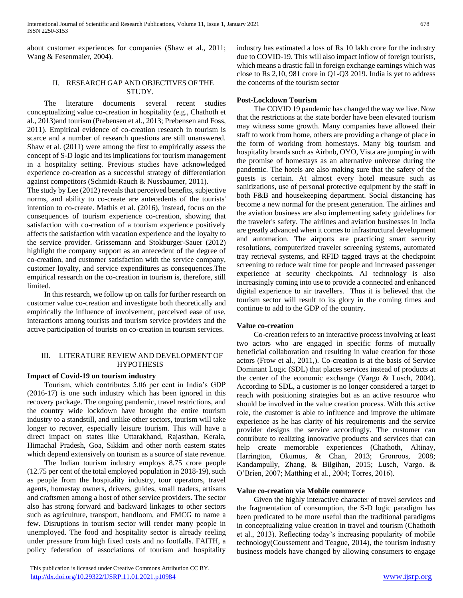about customer experiences for companies (Shaw et al., 2011; Wang & Fesenmaier, 2004).

# II. RESEARCH GAP AND OBJECTIVES OF THE STUDY.

 The literature documents several recent studies conceptualizing value co-creation in hospitality (e.g., Chathoth et al., 2013)and tourism (Prebensen et al., 2013; Prebensen and Foss, 2011). Empirical evidence of co-creation research in tourism is scarce and a number of research questions are still unanswered. Shaw et al. (2011) were among the first to empirically assess the concept of S-D logic and its implications for tourism management in a hospitality setting. Previous studies have acknowledged experience co-creation as a successful strategy of differentiation against competitors (Schmidt-Rauch & Nussbaumer, 2011).

The study by Lee (2012) reveals that perceived benefits, subjective norms, and ability to co-create are antecedents of the tourists' intention to co-create. Mathis et al. (2016), instead, focus on the consequences of tourism experience co-creation, showing that satisfaction with co-creation of a tourism experience positively affects the satisfaction with vacation experience and the loyalty to the service provider. Grissemann and Stokburger-Sauer (2012) highlight the company support as an antecedent of the degree of co-creation, and customer satisfaction with the service company, customer loyalty, and service expenditures as consequences.The empirical research on the co-creation in tourism is, therefore, still limited.

 In this research, we follow up on calls for further research on customer value co-creation and investigate both theoretically and empirically the influence of involvement, perceived ease of use, interactions among tourists and tourism service providers and the active participation of tourists on co-creation in tourism services.

# III. LITERATURE REVIEW AND DEVELOPMENT OF HYPOTHESIS

### **Impact of Covid-19 on tourism industry**

 Tourism, which contributes 5.06 per cent in India's GDP (2016-17) is one such industry which has been ignored in this recovery package. The ongoing pandemic, travel restrictions, and the country wide lockdown have brought the entire tourism industry to a standstill, and unlike other sectors, tourism will take longer to recover, especially leisure tourism. This will have a direct impact on states like Uttarakhand, Rajasthan, Kerala, Himachal Pradesh, Goa, Sikkim and other north eastern states which depend extensively on tourism as a source of state revenue.

 The Indian tourism industry employs 8.75 crore people (12.75 per cent of the total employed population in 2018-19), such as people from the hospitality industry, tour operators, travel agents, homestay owners, drivers, guides, small traders, artisans and craftsmen among a host of other service providers. The sector also has strong forward and backward linkages to other sectors such as agriculture, transport, handloom, and FMCG to name a few. Disruptions in tourism sector will render many people in unemployed. The food and hospitality sector is already reeling under pressure from high fixed costs and no footfalls. FAITH, a policy federation of associations of tourism and hospitality

 This publication is licensed under Creative Commons Attribution CC BY. <http://dx.doi.org/10.29322/IJSRP.11.01.2021.p10984> [www.ijsrp.org](http://ijsrp.org/)

industry has estimated a loss of Rs 10 lakh crore for the industry due to COVID-19. This will also impact inflow of foreign tourists, which means a drastic fall in foreign exchange earnings which was close to Rs 2,10, 981 crore in Q1-Q3 2019. India is yet to address the concerns of the tourism sector

### **Post-Lockdown Tourism**

 The COVID 19 pandemic has changed the way we live. Now that the restrictions at the state border have been elevated tourism may witness some growth. Many companies have allowed their staff to work from home, others are providing a change of place in the form of working from homestays. Many big tourism and hospitality brands such as Airbnb, OYO, Vista are jumping in with the promise of homestays as an alternative universe during the pandemic. The hotels are also making sure that the safety of the guests is certain. At almost every hotel measure such as sanitizations, use of personal protective equipment by the staff in both F&B and housekeeping department. Social distancing has become a new normal for the present generation. The airlines and the aviation business are also implementing safety guidelines for the traveler's safety. The airlines and aviation businesses in India are greatly advanced when it comes to infrastructural development and automation. The airports are practicing smart security resolutions, computerized traveler screening systems, automated tray retrieval systems, and RFID tagged trays at the checkpoint screening to reduce wait time for people and increased passenger experience at security checkpoints. AI technology is also increasingly coming into use to provide a connected and enhanced digital experience to air travellers. Thus it is believed that the tourism sector will result to its glory in the coming times and continue to add to the GDP of the country.

### **Value co-creation**

 Co-creation refers to an interactive process involving at least two actors who are engaged in specific forms of mutually beneficial collaboration and resulting in value creation for those actors (Frow et al., 2011,). Co-creation is at the basis of Service Dominant Logic (SDL) that places services instead of products at the center of the economic exchange (Vargo & Lusch, 2004). According to SDL, a customer is no longer considered a target to reach with positioning strategies but as an active resource who should be involved in the value creation process. With this active role, the customer is able to influence and improve the ultimate experience as he has clarity of his requirements and the service provider designs the service accordingly. The customer can contribute to realizing innovative products and services that can help create memorable experiences (Chathoth, Altinay, Harrington, Okumus, & Chan, 2013; Gronroos, 2008; Kandampully, Zhang, & Bilgihan, 2015; Lusch, Vargo. & O'Brien, 2007; Matthing et al., 2004; Torres, 2016).

### **Value co-creation via Mobile commerce**

 Given the highly interactive character of travel services and the fragmentation of consumption, the S-D logic paradigm has been predicated to be more useful than the traditional paradigms in conceptualizing value creation in travel and tourism (Chathoth et al., 2013). Reflecting today's increasing popularity of mobile technology(Coussement and Teague, 2014), the tourism industry business models have changed by allowing consumers to engage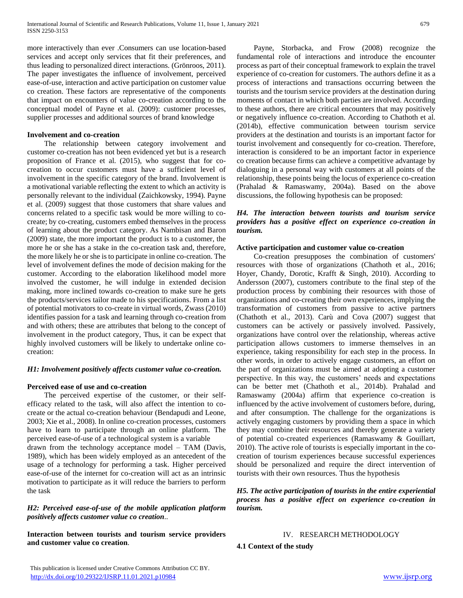more interactively than ever .Consumers can use location-based services and accept only services that fit their preferences, and thus leading to personalized direct interactions. (Grönroos, 2011). The paper investigates the influence of involvement, perceived ease-of-use, interaction and active participation on customer value co creation. These factors are representative of the components that impact on encounters of value co-creation according to the conceptual model of Payne et al. (2009): customer processes, supplier processes and additional sources of brand knowledge

### **Involvement and co-creation**

 The relationship between category involvement and customer co-creation has not been evidenced yet but is a research proposition of France et al. (2015), who suggest that for cocreation to occur customers must have a sufficient level of involvement in the specific category of the brand. Involvement is a motivational variable reflecting the extent to which an activity is personally relevant to the individual (Zaichkowsky, 1994). Payne et al. (2009) suggest that those customers that share values and concerns related to a specific task would be more willing to cocreate; by co-creating, customers embed themselves in the process of learning about the product category. As Nambisan and Baron (2009) state, the more important the product is to a customer, the more he or she has a stake in the co-creation task and, therefore, the more likely he or she is to participate in online co-creation. The level of involvement defines the mode of decision making for the customer. According to the elaboration likelihood model more involved the customer, he will indulge in extended decision making, more inclined towards co-creation to make sure he gets the products/services tailor made to his specifications. From a list of potential motivators to co-create in virtual words, Zwass (2010) identifies passion for a task and learning through co-creation from and with others; these are attributes that belong to the concept of involvement in the product category, Thus, it can be expect that highly involved customers will be likely to undertake online cocreation:

### *H1: Involvement positively affects customer value co-creation.*

### **Perceived ease of use and co-creation**

 The perceived expertise of the customer, or their selfefficacy related to the task, will also affect the intention to cocreate or the actual co-creation behaviour (Bendapudi and Leone, 2003; Xie et al., 2008). In online co-creation processes, customers have to learn to participate through an online platform. The perceived ease-of-use of a technological system is a variable drawn from the technology acceptance model – TAM (Davis, 1989), which has been widely employed as an antecedent of the usage of a technology for performing a task. Higher perceived ease-of-use of the internet for co-creation will act as an intrinsic motivation to participate as it will reduce the barriers to perform the task

### *H2: Perceived ease-of-use of the mobile application platform positively affects customer value co creation*..

**Interaction between tourists and tourism service providers and customer value co creation**.

 Payne, Storbacka, and Frow (2008) recognize the fundamental role of interactions and introduce the encounter process as part of their conceptual framework to explain the travel experience of co-creation for customers. The authors define it as a process of interactions and transactions occurring between the tourists and the tourism service providers at the destination during moments of contact in which both parties are involved. According to these authors, there are critical encounters that may positively or negatively influence co-creation. According to Chathoth et al. (2014b), effective communication between tourism service providers at the destination and tourists is an important factor for tourist involvement and consequently for co-creation. Therefore, interaction is considered to be an important factor in experience co creation because firms can achieve a competitive advantage by dialoguing in a personal way with customers at all points of the relationship, these points being the locus of experience co-creation (Prahalad & Ramaswamy, 2004a). Based on the above discussions, the following hypothesis can be proposed:

### *H4. The interaction between tourists and tourism service providers has a positive effect on experience co-creation in tourism.*

### **Active participation and customer value co-creation**

 Co-creation presupposes the combination of customers' resources with those of organizations (Chathoth et al., 2016; Hoyer, Chandy, Dorotic, Krafft & Singh, 2010). According to Andersson (2007), customers contribute to the final step of the production process by combining their resources with those of organizations and co-creating their own experiences, implying the transformation of customers from passive to active partners (Chathoth et al., 2013). Carù and Cova (2007) suggest that customers can be actively or passively involved. Passively, organizations have control over the relationship, whereas active participation allows customers to immerse themselves in an experience, taking responsibility for each step in the process. In other words, in order to actively engage customers, an effort on the part of organizations must be aimed at adopting a customer perspective. In this way, the customers' needs and expectations can be better met (Chathoth et al., 2014b). Prahalad and Ramaswamy (2004a) affirm that experience co-creation is influenced by the active involvement of customers before, during, and after consumption. The challenge for the organizations is actively engaging customers by providing them a space in which they may combine their resources and thereby generate a variety of potential co-created experiences (Ramaswamy & Gouillart, 2010). The active role of tourists is especially important in the cocreation of tourism experiences because successful experiences should be personalized and require the direct intervention of tourists with their own resources. Thus the hypothesis

*H5. The active participation of tourists in the entire experiential process has a positive effect on experience co-creation in tourism.*

# IV. RESEARCH METHODOLOGY

**4.1 Context of the study**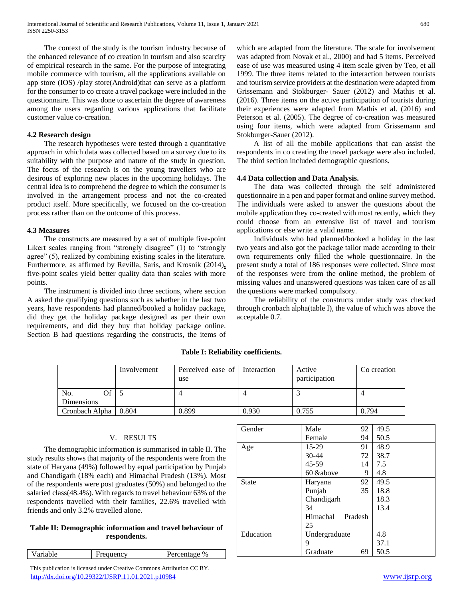The context of the study is the tourism industry because of the enhanced relevance of co creation in tourism and also scarcity of empirical research in the same. For the purpose of integrating mobile commerce with tourism, all the applications available on app store (IOS) /play store(Android)that can serve as a platform for the consumer to co create a travel package were included in the questionnaire. This was done to ascertain the degree of awareness among the users regarding various applications that facilitate customer value co-creation.

# **4.2 Research design**

 The research hypotheses were tested through a quantitative approach in which data was collected based on a survey due to its suitability with the purpose and nature of the study in question. The focus of the research is on the young travellers who are desirous of exploring new places in the upcoming holidays. The central idea is to comprehend the degree to which the consumer is involved in the arrangement process and not the co-created product itself. More specifically, we focused on the co-creation process rather than on the outcome of this process.

# **4.3 Measures**

 The constructs are measured by a set of multiple five-point Likert scales ranging from "strongly disagree" (1) to "strongly agree" (5), realized by combining existing scales in the literature. Furthermore, as affirmed by Revilla, Saris, and Krosnik (2014)**,** five-point scales yield better quality data than scales with more points.

 The instrument is divided into three sections, where section A asked the qualifying questions such as whether in the last two years, have respondents had planned/booked a holiday package, did they get the holiday package designed as per their own requirements, and did they buy that holiday package online. Section B had questions regarding the constructs, the items of which are adapted from the literature. The scale for involvement was adapted from Novak et al., 2000) and had 5 items. Perceived ease of use was measured using 4 item scale given by Teo, et all 1999. The three items related to the interaction between tourists and tourism service providers at the destination were adapted from Grissemann and Stokburger- Sauer (2012) and Mathis et al. (2016). Three items on the active participation of tourists during their experiences were adapted from Mathis et al. (2016) and Peterson et al. (2005). The degree of co-creation was measured using four items, which were adapted from Grissemann and Stokburger-Sauer (2012).

 A list of all the mobile applications that can assist the respondents in co creating the travel package were also included. The third section included demographic questions.

# **4.4 Data collection and Data Analysis.**

 The data was collected through the self administered questionnaire in a pen and paper format and online survey method. The individuals were asked to answer the questions about the mobile application they co-created with most recently, which they could choose from an extensive list of travel and tourism applications or else write a valid name.

 Individuals who had planned/booked a holiday in the last two years and also got the package tailor made according to their own requirements only filled the whole questionnaire. In the present study a total of 186 responses were collected. Since most of the responses were from the online method, the problem of missing values and unanswered questions was taken care of as all the questions were marked compulsory.

 The reliability of the constructs under study was checked through cronbach alpha(table I), the value of which was above the acceptable 0.7.

|                        | Involvement | Perceived ease of Interaction<br>use |       | Active<br>participation | Co creation |
|------------------------|-------------|--------------------------------------|-------|-------------------------|-------------|
| Эf<br>No.              |             |                                      |       |                         |             |
| Dimensions             |             |                                      |       |                         |             |
| Cronbach Alpha   0.804 |             | 0.899                                | 0.930 | 0.755                   | 0.794       |

# **Table I: Reliability coefficients.**

# V. RESULTS

 The demographic information is summarised in table II. The study results shows that majority of the respondents were from the state of Haryana (49%) followed by equal participation by Punjab and Chandigarh (18% each) and Himachal Pradesh (13%). Most of the respondents were post graduates (50%) and belonged to the salaried class(48.4%). With regards to travel behaviour 63% of the respondents travelled with their families, 22.6% travelled with friends and only 3.2% travelled alone.

# **Table II: Demographic information and travel behaviour of respondents.**

| Variable | requency | 'ercentage % |
|----------|----------|--------------|

 This publication is licensed under Creative Commons Attribution CC BY. <http://dx.doi.org/10.29322/IJSRP.11.01.2021.p10984> [www.ijsrp.org](http://ijsrp.org/)

| Gender       | Male<br>92          | 49.5 |
|--------------|---------------------|------|
|              | 94<br>Female        | 50.5 |
| Age          | 15-29<br>91         | 48.9 |
|              | 72<br>30-44         | 38.7 |
|              | 45-59<br>14         | 7.5  |
|              | 60 &above<br>9      | 4.8  |
| <b>State</b> | 92<br>Haryana       | 49.5 |
|              | 35<br>Punjab        | 18.8 |
|              | Chandigarh          | 18.3 |
|              | 34                  | 13.4 |
|              | Himachal<br>Pradesh |      |
|              | 25                  |      |
| Education    | Undergraduate       | 4.8  |
|              | 9                   | 37.1 |
|              | Graduate<br>69      | 50.5 |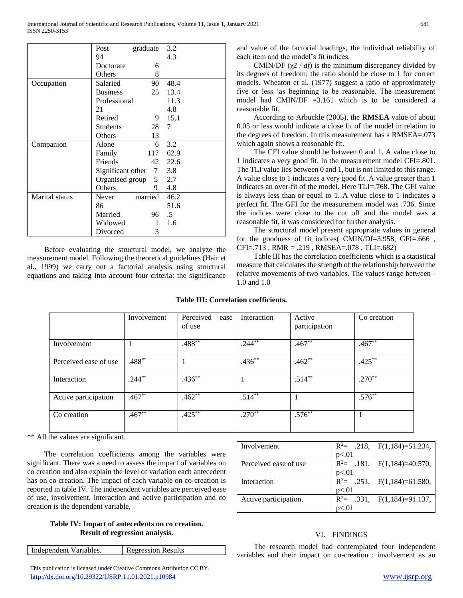|                | Post              | graduate | 3.2  |
|----------------|-------------------|----------|------|
|                | 94                |          | 4.3  |
|                | Doctorate         | 6        |      |
|                | Others            | 8        |      |
| Occupation     | Salaried          | 90       | 48.4 |
|                | <b>Business</b>   | 25       | 13.4 |
|                | Professional      |          | 11.3 |
|                | 21                |          | 4.8  |
|                | Retired           | 9        | 15.1 |
|                | <b>Students</b>   | 28       | 7    |
|                | Others            | 13       |      |
| Companion      | Alone             | 6        | 3.2  |
|                | Family            | 117      | 62.9 |
|                | Friends           | 42       | 22.6 |
|                | Significant other | 7        | 3.8  |
|                | Organised group   | 5        | 2.7  |
|                | Others            | 9        | 4.8  |
| Marital status | Never             | married  | 46.2 |
|                | 86                |          | 51.6 |
|                | Married           | 96       | .5   |
|                | Widowed           | 1        | 1.6  |
|                | Divorced          | 3        |      |

 Before evaluating the structural model, we analyze the measurement model. Following the theoretical guidelines (Hair et al., 1999) we carry out a factorial analysis using structural equations and taking into account four criteria: the significance

and value of the factorial loadings, the individual reliability of each item and the model's fit indices.

CMIN/DF  $(\chi^2 / df)$  is the minimum discrepancy divided by its degrees of freedom; the ratio should be close to 1 for correct models. Wheaton et al*.* (1977) suggest a ratio of approximately five or less 'as beginning to be reasonable. The measurement model had CMIN/DF =3.161 which is to be considered a reasonable fit.

 According to Arbuckle (2005), the **RMSEA** value of about 0.05 or less would indicate a close fit of the model in relation to the degrees of freedom. In this measurement has a RMSEA=.073 which again shows a reasonable fit.

 The CFI value should be between 0 and 1. A value close to 1 indicates a very good fit. In the measurement model CFI=.801. The TLI value lies between 0 and 1, but is not limited to this range. A value close to 1 indicates a very good fit .A value greater than 1 indicates an over-fit of the model. Here TLI=.768. The GFI value is always less than or equal to 1. A value close to 1 indicates a perfect fit. The GFI for the measurement model was .736. Since the indices were close to the cut off and the model was a reasonable fit, it was considered for further analysis.

 The structural model present appropriate values in general for the goodness of fit indices( CMIN/Df=3.958, GFI=.666 , CFI=.713 , RMR = .219 , RMSEA=.078 , TLI=.682)

 Table III has the correlation coefficients which is a statistical measure that calculates the strength of the relationship between the relative movements of two variables. The values range between - 1.0 and 1.0

# **Table III: Correlation coefficients.**

|                       | Involvement | Perceived<br>ease<br>of use | Interaction | Active<br>participation | Co creation |
|-----------------------|-------------|-----------------------------|-------------|-------------------------|-------------|
| Involvement           |             | $.488**$                    | $.244***$   | $.467**$                | $.467**$    |
| Perceived ease of use | $.488**$    |                             | $.436**$    | $.462**$                | $.425***$   |
| Interaction           | $.244***$   | $.436***$                   |             | $.514***$               | $.270**$    |
| Active participation  | $.467**$    | $.462**$                    | $.514***$   |                         | $.576***$   |
| Co creation           | $.467**$    | $.425***$                   | $.270**$    | $.576***$               |             |

\*\* All the values are significant.

 The correlation coefficients among the variables were significant. There was a need to assess the impact of variables on co creation and also explain the level of variation each antecedent has on co creation. The impact of each variable on co-creation is reported in table IV. The independent variables are perceived ease of use, involvement, interaction and active participation and co creation is the dependent variable.

# **Table IV: Impact of antecedents on co creation. Result of regression analysis.**

| Independent Variables. | <b>Regression Results</b> |
|------------------------|---------------------------|
|                        |                           |

 This publication is licensed under Creative Commons Attribution CC BY. <http://dx.doi.org/10.29322/IJSRP.11.01.2021.p10984> [www.ijsrp.org](http://ijsrp.org/)

| Involvement           | $R^2$ = .218, $F(1,184)$ =51.234,  |
|-----------------------|------------------------------------|
|                       | p<.01                              |
| Perceived ease of use | $R^2$ = .181, $F(1,184)$ = 40.570, |
|                       | p<.01                              |
| Interaction           | $R^2$ = .251, $F(1,184)$ =61.580,  |
|                       | p<.01                              |
| Active participation. | $R^2$ = .331, $F(1,184)$ =91.137,  |
|                       |                                    |

# VI. FINDINGS

 The research model had contemplated four independent variables and their impact on co-creation : involvement as an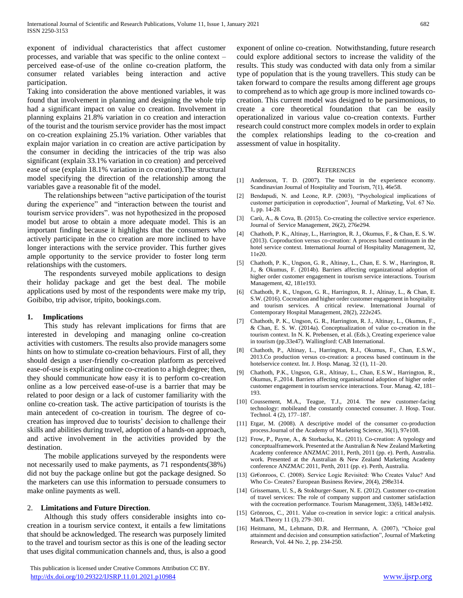exponent of individual characteristics that affect customer processes, and variable that was specific to the online context – perceived ease-of-use of the online co-creation platform, the consumer related variables being interaction and active participation.

Taking into consideration the above mentioned variables, it was found that involvement in planning and designing the whole trip had a significant impact on value co creation. Involvement in planning explains 21.8% variation in co creation and interaction of the tourist and the tourism service provider has the most impact on co-creation explaining 25.1% variation. Other variables that explain major variation in co creation are active participation by the consumer in deciding the intricacies of the trip was also significant (explain 33.1% variation in co creation) and perceived ease of use (explain 18.1% variation in co creation).The structural model specifying the direction of the relationship among the variables gave a reasonable fit of the model.

 The relationships between "active participation of the tourist during the experience" and "interaction between the tourist and tourism service providers". was not hypothesized in the proposed model but arose to obtain a more adequate model. This is an important finding because it highlights that the consumers who actively participate in the co creation are more inclined to have longer interactions with the service provider. This further gives ample opportunity to the service provider to foster long term relationships with the customers.

 The respondents surveyed mobile applications to design their holiday package and get the best deal. The mobile applications used by most of the respondents were make my trip, Goibibo, trip advisor, tripito, bookings.com.

### **1. Implications**

 This study has relevant implications for firms that are interested in developing and managing online co-creation activities with customers. The results also provide managers some hints on how to stimulate co-creation behaviours. First of all, they should design a user-friendly co-creation platform as perceived ease-of-use is explicating online co-creation to a high degree; then, they should communicate how easy it is to perform co-creation online as a low perceived ease-of-use is a barrier that may be related to poor design or a lack of customer familiarity with the online co-creation task. The active participation of tourists is the main antecedent of co-creation in tourism. The degree of cocreation has improved due to tourists' decision to challenge their skills and abilities during travel, adoption of a hands-on approach, and active involvement in the activities provided by the destination.

 The mobile applications surveyed by the respondents were not necessarily used to make payments, as 71 respondents(38%) did not buy the package online but got the package designed. So the marketers can use this information to persuade consumers to make online payments as well.

### 2. **Limitations and Future Direction**.

 Although this study offers considerable insights into cocreation in a tourism service context, it entails a few limitations that should be acknowledged. The research was purposely limited to the travel and tourism sector as this is one of the leading sector that uses digital communication channels and, thus, is also a good

 This publication is licensed under Creative Commons Attribution CC BY. <http://dx.doi.org/10.29322/IJSRP.11.01.2021.p10984> [www.ijsrp.org](http://ijsrp.org/)

exponent of online co-creation. Notwithstanding, future research could explore additional sectors to increase the validity of the results. This study was conducted with data only from a similar type of population that is the young travellers. This study can be taken forward to compare the results among different age groups to comprehend as to which age group is more inclined towards cocreation. This current model was designed to be parsimonious, to create a core theoretical foundation that can be easily operationalized in various value co-creation contexts. Further research could construct more complex models in order to explain the complex relationships leading to the co-creation and assessment of value in hospitality.

### **REFERENCES**

- [1] Andersson, T. D. (2007). The tourist in the experience economy. Scandinavian Journal of Hospitality and Tourism, 7(1), 46e58.
- [2] Bendapudi, N. and Leone, R.P. (2003), "Psychological implications of customer participation in coproduction", Journal of Marketing, Vol. 67 No. 1, pp. 14-28.
- [3] Carù, A., & Cova, B. (2015). Co-creating the collective service experience. Journal of Service Management, 26(2), 276e294.
- [4] Chathoth, P. K., Altinay, L., Harrington, R. J., Okumus, F., & Chan, E. S. W. (2013). Coproduction versus co-creation: A process based continuum in the hotel service context. International Journal of Hospitality Management, 32, 11e20.
- [5] Chathoth, P. K., Ungson, G. R., Altinay, L., Chan, E. S. W., Harrington, R. J., & Okumus, F. (2014b). Barriers affecting organizational adoption of higher order customer engagement in tourism service interactions. Tourism Management, 42, 181e193.
- [6] Chathoth, P. K., Ungson, G. R., Harrington, R. J., Altinay, L., & Chan, E. S.W. (2016). Cocreation and higher order customer engagement in hospitality and tourism services. A critical review. International Journal of Contemporary Hospital Management, 28(2), 222e245.
- [7] Chathoth, P. K., Ungson, G. R., Harrington, R. J., Altinay, L., Okumus, F., & Chan, E. S. W. (2014a). Conceptualization of value co-creation in the tourism context. In N. K. Prebensen, et al. (Eds.), Creating experience value in tourism (pp.33e47). Wallingford: CAB International.
- [8] Chathoth, P., Altinay, L., Harrington, R.J., Okumus, F., Chan, E.S.W., 2013.Co production versus co-creation: a process based continuum in the hotelservice context. Int. J. Hosp. Manag. 32 (1), 11-20.
- [9] Chathoth, P.K., Ungson, G.R., Altinay, L., Chan, E.S.W., Harrington, R., Okumus, F.,2014. Barriers affecting organisational adoption of higher order customer engagement in tourism service interactions. Tour. Manag. 42, 181– 193.
- [10] Coussement, M.A., Teague, T.J., 2014. The new customer-facing technology: mobileand the constantly connected consumer. J. Hosp. Tour. Technol. 4 (2), 177–187.
- [11] Etgar, M. (2008). A descriptive model of the consumer co-production process.Journal of the Academy of Marketing Science, 36(1), 97e108.
- [12] Frow, P., Payne, A., & Storbacka, K.. (2011). Co-creation: A typology and conceptualframework. Presented at the Australian & New Zealand Marketing Academy conference ANZMAC 2011, Perth, 2011 (pp. e). Perth, Australia. work. Presented at the Australian & New Zealand Marketing Academy conference ANZMAC 2011, Perth, 2011 (pp. e). Perth, Australia.
- [13] Gr€onroos, C. (2008). Service Logic Revisited: Who Creates Value? And Who Co- Creates? European Business Review, 20(4), 298e314.
- [14] Grissemann, U. S., & Stokburger-Sauer, N. E. (2012). Customer co-creation of travel services: The role of company support and customer satisfaction with the cocreation performance. Tourism Management, 33(6), 1483e1492.
- [15] Grönroos, C., 2011. Value co-creation in service logic: a critical analysis. Mark.Theory 11 (3), 279–301.
- [16] Heitmann, M., Lehmann, D.R. and Herrmann, A. (2007), "Choice goal attainment and decision and consumption satisfaction", Journal of Marketing Research, Vol. 44 No. 2, pp. 234-250.